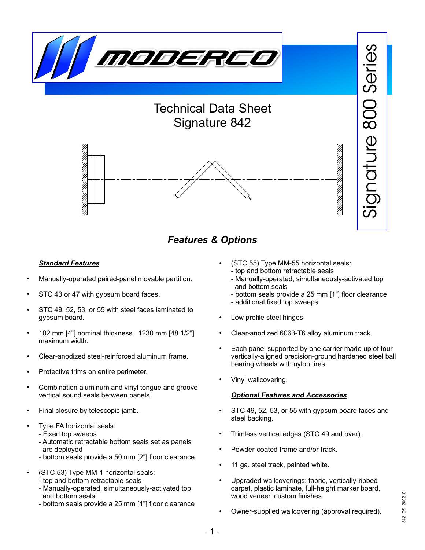

## *Features & Options*

#### *Standard Features*

- Manually-operated paired-panel movable partition.
- STC 43 or 47 with gypsum board faces.
- STC 49, 52, 53, or 55 with steel faces laminated to gypsum board.
- 102 mm [4"] nominal thickness. 1230 mm [48 1/2"] maximum width.
- Clear-anodized steel-reinforced aluminum frame.
- Protective trims on entire perimeter.
- Combination aluminum and vinyl tongue and groove vertical sound seals between panels.
- Final closure by telescopic jamb.
- Type FA horizontal seals:
	- Fixed top sweeps
	- Automatic retractable bottom seals set as panels are deployed
	- bottom seals provide a 50 mm [2"] floor clearance
- (STC 53) Type MM-1 horizontal seals:
	- top and bottom retractable seals
	- Manually-operated, simultaneously-activated top and bottom seals
	- bottom seals provide a 25 mm [1"] floor clearance
- (STC 55) Type MM-55 horizontal seals: - top and bottom retractable seals
	- Manually-operated, simultaneously-activated top and bottom seals
	- bottom seals provide a 25 mm [1"] floor clearance
	- additional fixed top sweeps
- Low profile steel hinges.
- Clear-anodized 6063-T6 alloy aluminum track.
- Each panel supported by one carrier made up of four vertically-aligned precision-ground hardened steel ball bearing wheels with nylon tires.
- Vinyl wallcovering.

#### *Optional Features and Accessories*

- STC 49, 52, 53, or 55 with gypsum board faces and steel backing.
- Trimless vertical edges (STC 49 and over).
- Powder-coated frame and/or track.
- 11 ga. steel track, painted white.
- Upgraded wallcoverings: fabric, vertically-ribbed carpet, plastic laminate, full-height marker board, wood veneer, custom finishes.
- Owner-supplied wallcovering (approval required).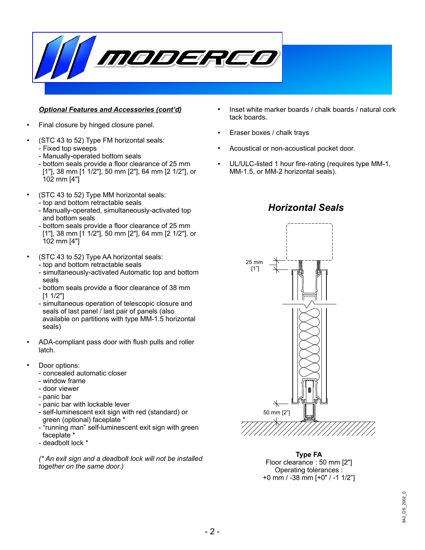

#### *Optional Features and Accessories (cont'd)*

- Final closure by hinged closure panel.
- (STC 43 to 52) Type FM horizontal seals: - Fixed top sweeps
	- Manually-operated bottom seals
	- bottom seals provide a floor clearance of 25 mm [1"], 38 mm [1 1/2"], 50 mm [2"], 64 mm [2 1/2"], or 102 mm [4"]
- (STC 43 to 52) Type MM horizontal seals:
	- top and bottom retractable seals - Manually-operated, simultaneously-activated top
	- and bottom seals - bottom seals provide a floor clearance of 25 mm [1"], 38 mm [1 1/2"], 50 mm [2"], 64 mm [2 1/2"], or 102 mm [4"]
- (STC 43 to 52) Type AA horizontal seals:
	- top and bottom retractable seals
	- simultaneously-activated Automatic top and bottom seals
	- bottom seals provide a floor clearance of 38 mm [1 1/2"]
	- simultaneous operation of telescopic closure and seals of last panel / last pair of panels (also available on partitions with type MM-1.5 horizontal seals)
- ADA-compliant pass door with flush pulls and roller latch.
- Door options:
	- concealed automatic closer
	- window frame
	- door viewer
	- panic bar
	- panic bar with lockable lever
	- self-luminescent exit sign with red (standard) or green (optional) faceplate \*
	- "running man" self-luminescent exit sign with green faceplate \*
	- deadbolt lock \*

*(\* An exit sign and a deadbolt lock will not be installed together on the same door.)*

- Inset white marker boards / chalk boards / natural cork tack boards.
- Eraser boxes / chalk trays
- Acoustical or non-acoustical pocket door.
- UL/ULC-listed 1 hour fire-rating (requires type MM-1, MM-1.5, or MM-2 horizontal seals).

*Horizontal Seals*



#### **Type FA** Floor clearance : 50 mm [2"] Operating tolerances : +0 mm / -38 mm [+0" / -1 1/2"]

# 842\_DS\_2002\_0342\_DS\_2002\_0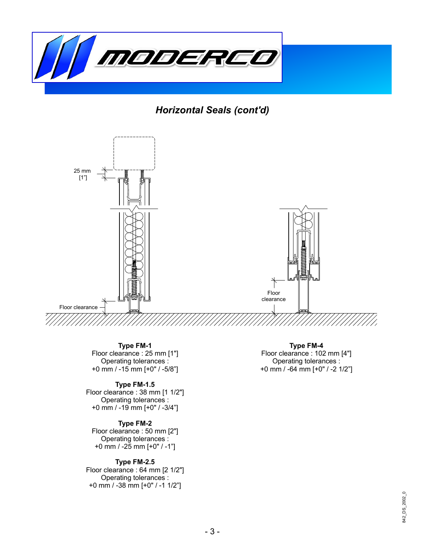

*Horizontal Seals (cont'd)*



**Type FM-1** Floor clearance : 25 mm [1"] Operating tolerances : +0 mm / -15 mm [+0" / -5/8"]

#### **Type FM-1.5**

Floor clearance : 38 mm [1 1/2"] Operating tolerances : +0 mm / -19 mm [+0" / -3/4"]

#### **Type FM-2**

Floor clearance : 50 mm [2"] Operating tolerances : +0 mm / -25 mm [+0" / -1"]

#### **Type FM-2.5**

Floor clearance : 64 mm [2 1/2"] Operating tolerances : +0 mm / -38 mm [+0" / -1 1/2"]

**Type FM-4** Floor clearance : 102 mm [4"] Operating tolerances : +0 mm / -64 mm [+0" / -2 1/2"]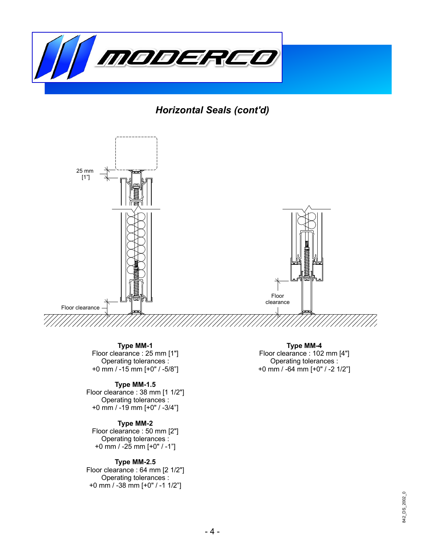

*Horizontal Seals (cont'd)*



**Type MM-1** Floor clearance : 25 mm [1"] Operating tolerances : +0 mm / -15 mm [+0" / -5/8"]

#### **Type MM-1.5**

Floor clearance : 38 mm [1 1/2"] Operating tolerances : +0 mm / -19 mm [+0" / -3/4"]

#### **Type MM-2**

Floor clearance : 50 mm [2"] Operating tolerances : +0 mm / -25 mm [+0" / -1"]

#### **Type MM-2.5**

Floor clearance : 64 mm [2 1/2"] Operating tolerances : +0 mm / -38 mm [+0" / -1 1/2"]

**Type MM-4** Floor clearance : 102 mm [4"] Operating tolerances : +0 mm / -64 mm [+0" / -2 1/2"]

# 842\_DS\_2002\_0 842\_DS\_2002\_0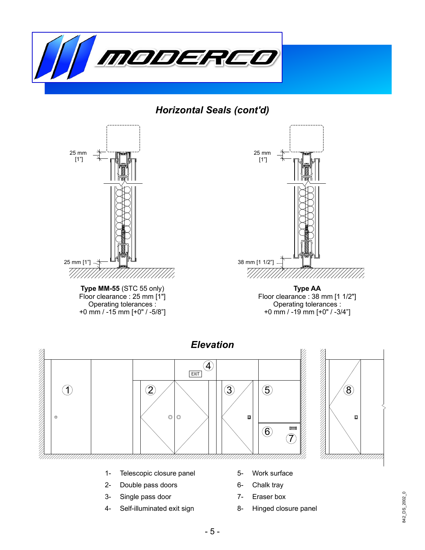

*Horizontal Seals (cont'd)*



+0 mm / -15 mm [+0" / -5/8"]



**Type AA** Floor clearance : 38 mm [1 1/2"] Operating tolerances : +0 mm / -19 mm [+0" / -3/4"]



- 2- Double pass doors
- 3- Single pass door
- 4- Self-illuminated exit sign
- 6- Chalk tray
- 7- Eraser box
- 8- Hinged closure panel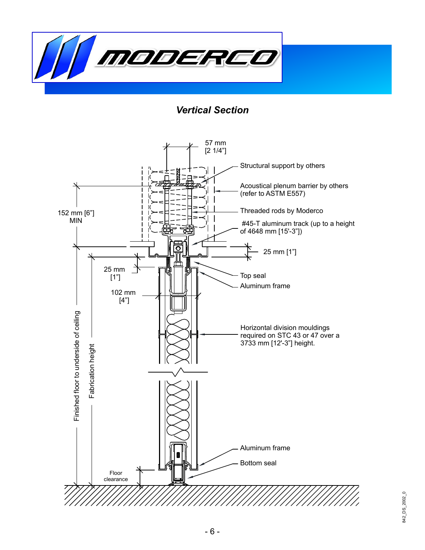

*Vertical Section*

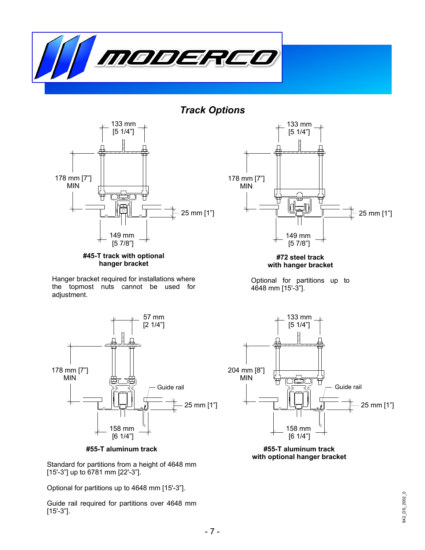

*Track Options*





Hanger bracket required for installations where the topmost nuts cannot be used for adjustment.



**#55-T aluminum track**

Standard for partitions from a height of 4648 mm [15'-3"] up to 6781 mm [22'-3"].

Optional for partitions up to 4648 mm [15'-3"].

Guide rail required for partitions over 4648 mm [15'-3"].



**#72 steel track with hanger bracket**

Optional for partitions up to 4648 mm [15'-3"].





842\_DS\_2002\_0 842\_DS\_2002\_0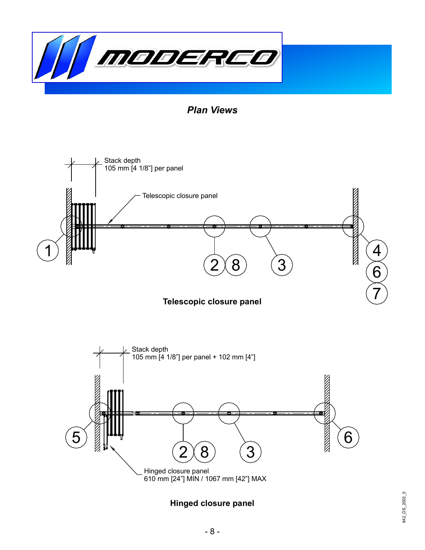

*Plan Views*



6

**Hinged closure panel**

610 mm [24"] MIN / 1067 mm [42"] MAX

 $2\!\!\times\!\!8)$   $(3$ 

. Hinged closure panel

5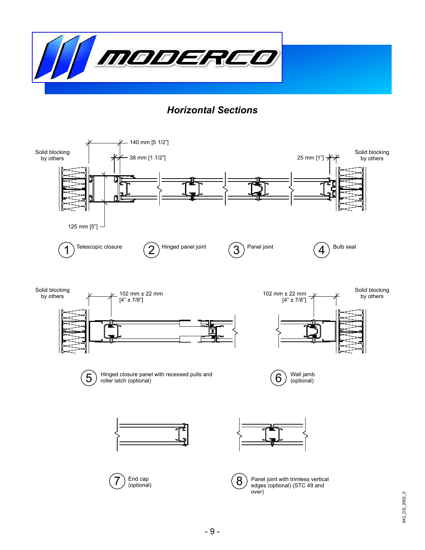

## *Horizontal Sections*

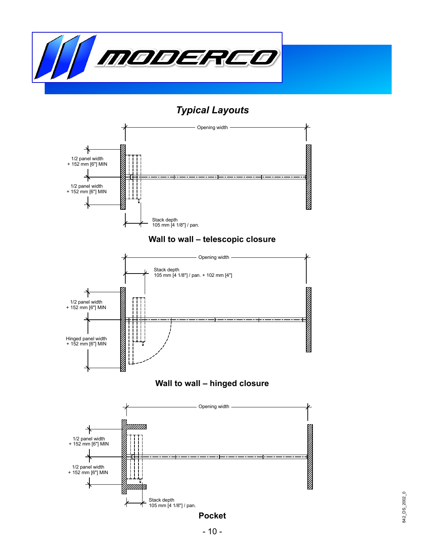

## *Typical Layouts*



### **Wall to wall – telescopic closure**



## **Wall to wall – hinged closure**